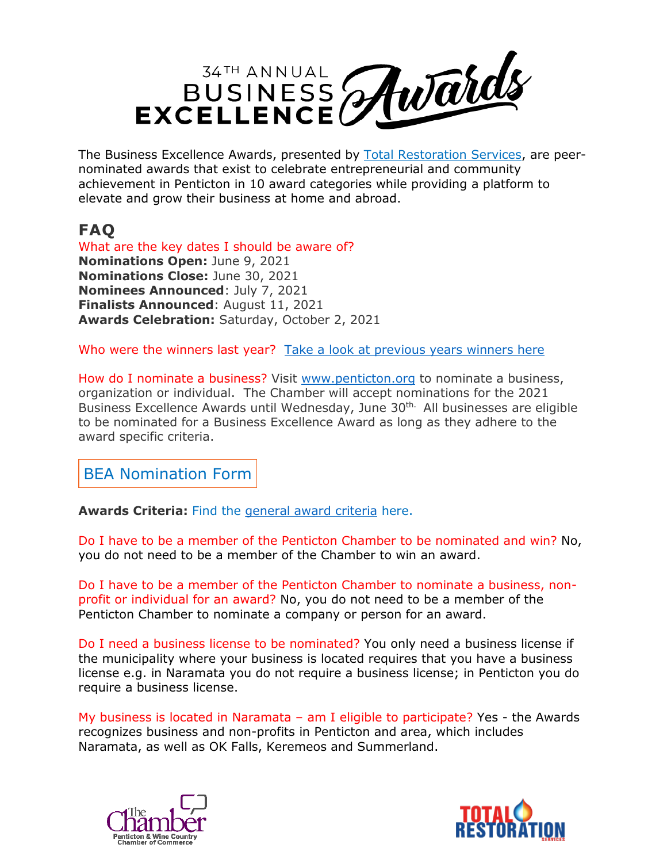

The Business Excellence Awards, presented by [Total Restoration Services,](https://www.totalrestoration.ca/penticton) are peernominated awards that exist to celebrate entrepreneurial and community achievement in Penticton in 10 award categories while providing a platform to elevate and grow their business at home and abroad.

## **FAQ**

What are the key dates I should be aware of? **Nominations Open:** June 9, 2021 **Nominations Close:** June 30, 2021 **Nominees Announced**: July 7, 2021 **Finalists Announced**: August 11, 2021 **Awards Celebration:** Saturday, October 2, 2021

Who were the winners last year? [Take a look at previous](https://www.penticton.org/wp-content/uploads/2021/06/Business-Excellence-Awards-Past-Recipients.pdf) years winners here

How do I nominate a business? Visit [www.penticton.org](http://www.penticton.org/) to nominate a business, organization or individual. The Chamber will accept nominations for the 2021 Business Excellence Awards until Wednesday, June 30<sup>th.</sup> All businesses are eligible to be nominated for a Business Excellence Award as long as they adhere to the award specific criteria.

BEA [Nomination](https://www.penticton.org/2021beanomination/) Form

**Awards Criteria:** Find the general [award criteria](https://www.penticton.org/wp-content/uploads/2021/06/2021-Award-Criteria.pdf) here.

Do I have to be a member of the Penticton Chamber to be nominated and win? No, you do not need to be a member of the Chamber to win an award.

Do I have to be a member of the Penticton Chamber to nominate a business, nonprofit or individual for an award? No, you do not need to be a member of the Penticton Chamber to nominate a company or person for an award.

Do I need a business license to be nominated? You only need a business license if the municipality where your business is located requires that you have a business license e.g. in Naramata you do not require a business license; in Penticton you do require a business license.

My business is located in Naramata – am I eligible to participate? Yes - the Awards recognizes business and non-profits in Penticton and area, which includes Naramata, as well as OK Falls, Keremeos and Summerland.